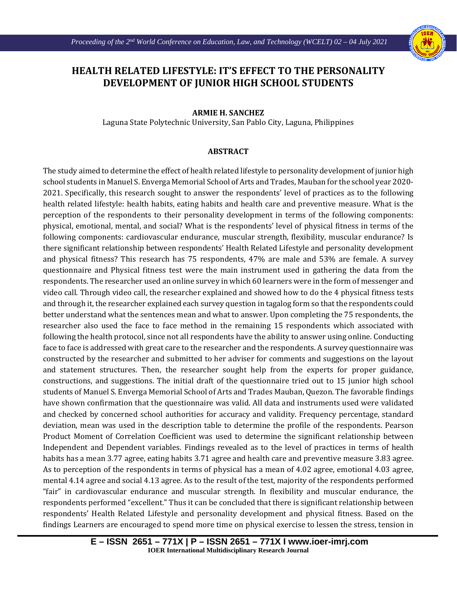Ι



## **HEALTH RELATED LIFESTYLE: IT'S EFFECT TO THE PERSONALITY DEVELOPMENT OF JUNIOR HIGH SCHOOL STUDENTS**

## **ARMIE H. SANCHEZ**

Laguna State Polytechnic University, San Pablo City, Laguna, Philippines

## **ABSTRACT**

The study aimed to determine the effect of health related lifestyle to personality development of junior high school students in Manuel S. Enverga Memorial School of Arts and Trades, Mauban for the school year 2020- 2021. Specifically, this research sought to answer the respondents' level of practices as to the following health related lifestyle: health habits, eating habits and health care and preventive measure. What is the perception of the respondents to their personality development in terms of the following components: physical, emotional, mental, and social? What is the respondents' level of physical fitness in terms of the following components: cardiovascular endurance, muscular strength, flexibility, muscular endurance? Is there significant relationship between respondents' Health Related Lifestyle and personality development and physical fitness? This research has 75 respondents, 47% are male and 53% are female. A survey questionnaire and Physical fitness test were the main instrument used in gathering the data from the respondents. The researcher used an online survey in which 60 learners were in the form of messenger and video call. Through video call, the researcher explained and showed how to do the 4 physical fitness tests and through it, the researcher explained each survey question in tagalog form so that the respondents could better understand what the sentences mean and what to answer. Upon completing the 75 respondents, the researcher also used the face to face method in the remaining 15 respondents which associated with following the health protocol, since not all respondents have the ability to answer using online. Conducting face to face is addressed with great care to the researcher and the respondents. A survey questionnaire was constructed by the researcher and submitted to her adviser for comments and suggestions on the layout and statement structures. Then, the researcher sought help from the experts for proper guidance, constructions, and suggestions. The initial draft of the questionnaire tried out to 15 junior high school students of Manuel S. Enverga Memorial School of Arts and Trades Mauban, Quezon. The favorable findings have shown confirmation that the questionnaire was valid. All data and instruments used were validated and checked by concerned school authorities for accuracy and validity. Frequency percentage, standard deviation, mean was used in the description table to determine the profile of the respondents. Pearson Product Moment of Correlation Coefficient was used to determine the significant relationship between Independent and Dependent variables. Findings revealed as to the level of practices in terms of health habits has a mean 3.77 agree, eating habits 3.71 agree and health care and preventive measure 3.83 agree. As to perception of the respondents in terms of physical has a mean of 4.02 agree, emotional 4.03 agree, mental 4.14 agree and social 4.13 agree. As to the result of the test, majority of the respondents performed "fair" in cardiovascular endurance and muscular strength. In flexibility and muscular endurance, the respondents performed "excellent." Thus it can be concluded that there is significant relationship between respondents' Health Related Lifestyle and personality development and physical fitness. Based on the findings Learners are encouraged to spend more time on physical exercise to lessen the stress, tension in